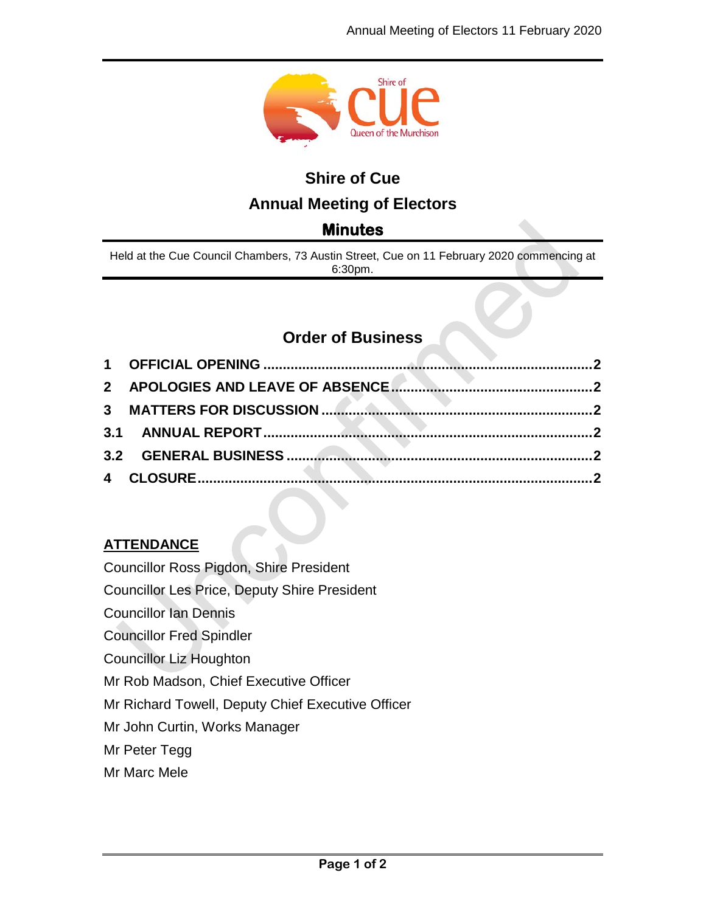

# **Shire of Cue Annual Meeting of Electors**

# **Minutes**

Held at the Cue Council Chambers, 73 Austin Street, Cue on 11 February 2020 commencing at 6:30pm.

# **Order of Business**

## **ATTENDANCE**

Councillor Ross Pigdon, Shire President

Councillor Les Price, Deputy Shire President

Councillor Ian Dennis

Councillor Fred Spindler

Councillor Liz Houghton

Mr Rob Madson, Chief Executive Officer

Mr Richard Towell, Deputy Chief Executive Officer

Mr John Curtin, Works Manager

Mr Peter Tegg

Mr Marc Mele